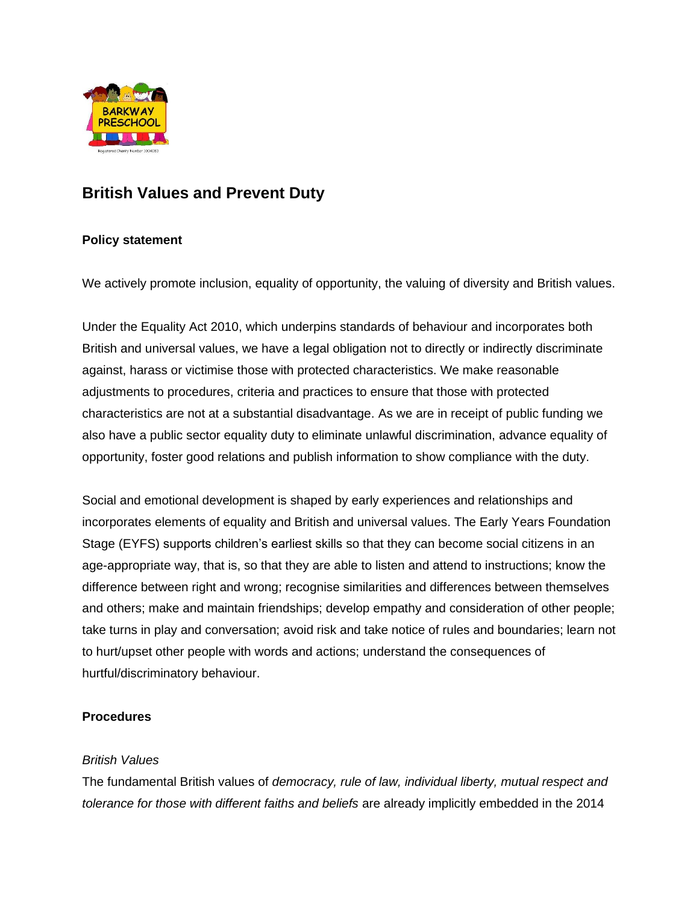

# **British Values and Prevent Duty**

## **Policy statement**

We actively promote inclusion, equality of opportunity, the valuing of diversity and British values.

Under the Equality Act 2010, which underpins standards of behaviour and incorporates both British and universal values, we have a legal obligation not to directly or indirectly discriminate against, harass or victimise those with protected characteristics. We make reasonable adjustments to procedures, criteria and practices to ensure that those with protected characteristics are not at a substantial disadvantage. As we are in receipt of public funding we also have a public sector equality duty to eliminate unlawful discrimination, advance equality of opportunity, foster good relations and publish information to show compliance with the duty.

Social and emotional development is shaped by early experiences and relationships and incorporates elements of equality and British and universal values. The Early Years Foundation Stage (EYFS) supports children's earliest skills so that they can become social citizens in an age-appropriate way, that is, so that they are able to listen and attend to instructions; know the difference between right and wrong; recognise similarities and differences between themselves and others; make and maintain friendships; develop empathy and consideration of other people; take turns in play and conversation; avoid risk and take notice of rules and boundaries; learn not to hurt/upset other people with words and actions; understand the consequences of hurtful/discriminatory behaviour.

### **Procedures**

### *British Values*

The fundamental British values of *democracy, rule of law, individual liberty, mutual respect and tolerance for those with different faiths and beliefs* are already implicitly embedded in the 2014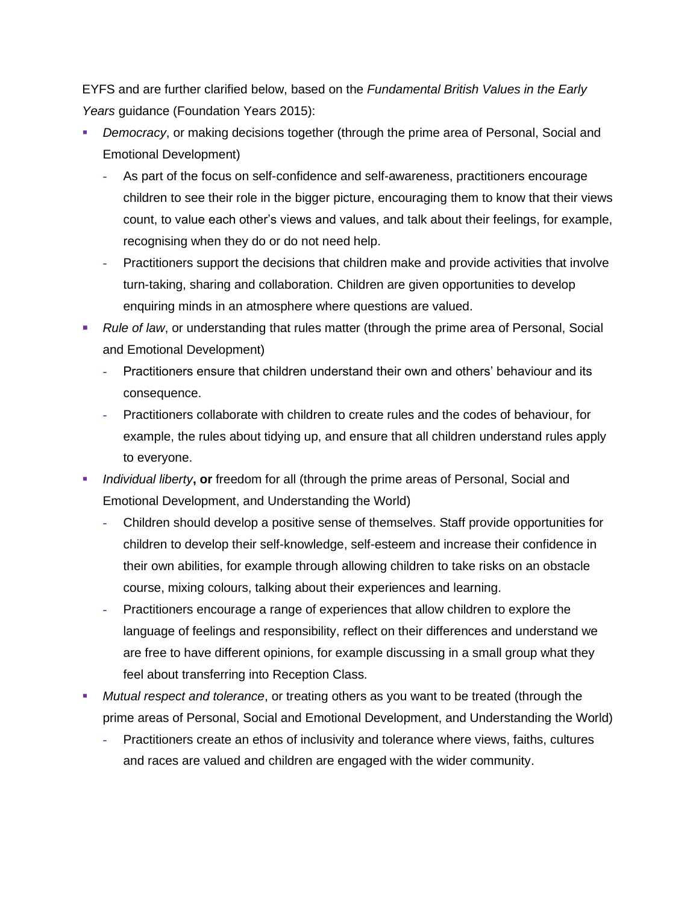EYFS and are further clarified below, based on the *Fundamental British Values in the Early Years* guidance (Foundation Years 2015):

- *Democracy*, or making decisions together (through the prime area of Personal, Social and Emotional Development)
	- **-** As part of the focus on self-confidence and self-awareness, practitioners encourage children to see their role in the bigger picture, encouraging them to know that their views count, to value each other's views and values, and talk about their feelings, for example, recognising when they do or do not need help.
	- **-** Practitioners support the decisions that children make and provide activities that involve turn-taking, sharing and collaboration. Children are given opportunities to develop enquiring minds in an atmosphere where questions are valued.
- *Rule of law*, or understanding that rules matter (through the prime area of Personal, Social and Emotional Development)
	- **-** Practitioners ensure that children understand their own and others' behaviour and its consequence.
	- **-** Practitioners collaborate with children to create rules and the codes of behaviour, for example, the rules about tidying up, and ensure that all children understand rules apply to everyone.
- *Individual liberty*, or freedom for all (through the prime areas of Personal, Social and Emotional Development, and Understanding the World)
	- **-** Children should develop a positive sense of themselves. Staff provide opportunities for children to develop their self-knowledge, self-esteem and increase their confidence in their own abilities, for example through allowing children to take risks on an obstacle course, mixing colours, talking about their experiences and learning.
	- **-** Practitioners encourage a range of experiences that allow children to explore the language of feelings and responsibility, reflect on their differences and understand we are free to have different opinions, for example discussing in a small group what they feel about transferring into Reception Class.
- *Mutual respect and tolerance*, or treating others as you want to be treated (through the prime areas of Personal, Social and Emotional Development, and Understanding the World)
	- **-** Practitioners create an ethos of inclusivity and tolerance where views, faiths, cultures and races are valued and children are engaged with the wider community.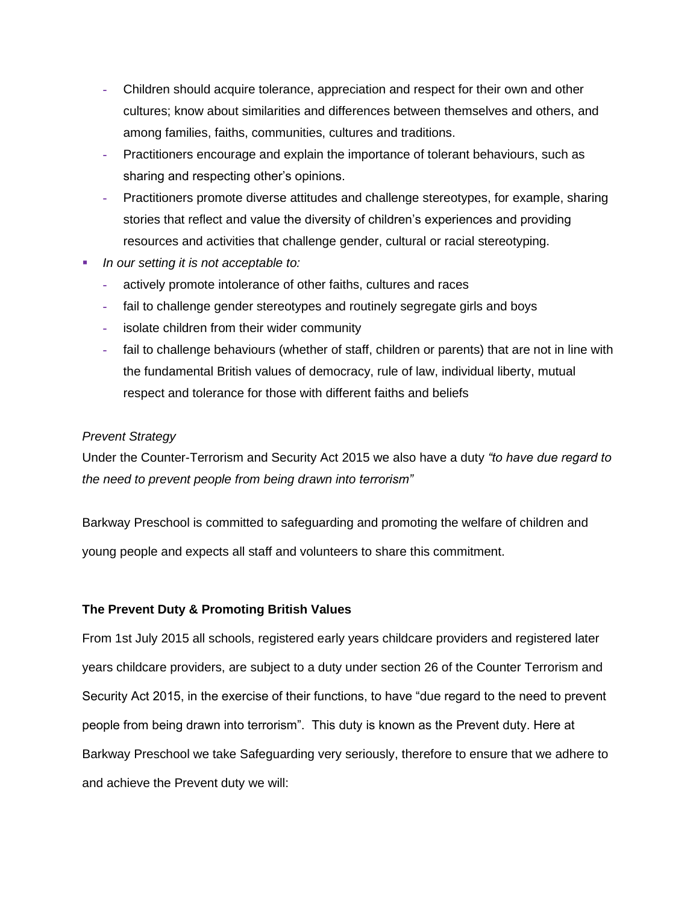- **-** Children should acquire tolerance, appreciation and respect for their own and other cultures; know about similarities and differences between themselves and others, and among families, faiths, communities, cultures and traditions.
- **-** Practitioners encourage and explain the importance of tolerant behaviours, such as sharing and respecting other's opinions.
- **-** Practitioners promote diverse attitudes and challenge stereotypes, for example, sharing stories that reflect and value the diversity of children's experiences and providing resources and activities that challenge gender, cultural or racial stereotyping.
- *In our setting it is not acceptable to:* 
	- **-** actively promote intolerance of other faiths, cultures and races
	- **-** fail to challenge gender stereotypes and routinely segregate girls and boys
	- **-** isolate children from their wider community
	- **-** fail to challenge behaviours (whether of staff, children or parents) that are not in line with the fundamental British values of democracy, rule of law, individual liberty, mutual respect and tolerance for those with different faiths and beliefs

### *Prevent Strategy*

Under the Counter-Terrorism and Security Act 2015 we also have a duty *"to have due regard to the need to prevent people from being drawn into terrorism"*

Barkway Preschool is committed to safeguarding and promoting the welfare of children and young people and expects all staff and volunteers to share this commitment.

### **The Prevent Duty & Promoting British Values**

From 1st July 2015 all schools, registered early years childcare providers and registered later years childcare providers, are subject to a duty under section 26 of the Counter Terrorism and Security Act 2015, in the exercise of their functions, to have "due regard to the need to prevent people from being drawn into terrorism". This duty is known as the Prevent duty. Here at Barkway Preschool we take Safeguarding very seriously, therefore to ensure that we adhere to and achieve the Prevent duty we will: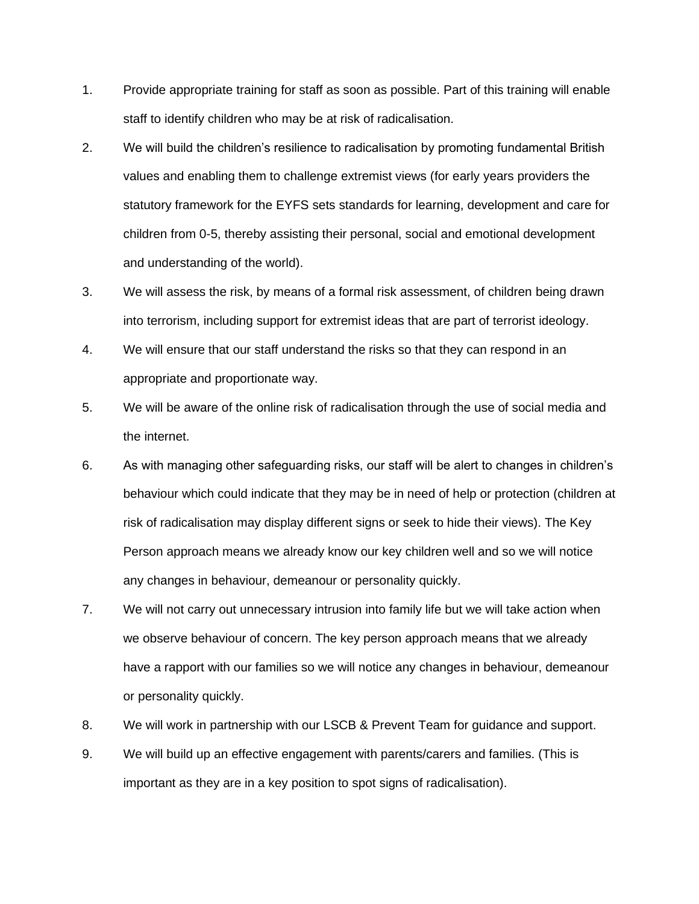- 1. Provide appropriate training for staff as soon as possible. Part of this training will enable staff to identify children who may be at risk of radicalisation.
- 2. We will build the children's resilience to radicalisation by promoting fundamental British values and enabling them to challenge extremist views (for early years providers the statutory framework for the EYFS sets standards for learning, development and care for children from 0-5, thereby assisting their personal, social and emotional development and understanding of the world).
- 3. We will assess the risk, by means of a formal risk assessment, of children being drawn into terrorism, including support for extremist ideas that are part of terrorist ideology.
- 4. We will ensure that our staff understand the risks so that they can respond in an appropriate and proportionate way.
- 5. We will be aware of the online risk of radicalisation through the use of social media and the internet.
- 6. As with managing other safeguarding risks, our staff will be alert to changes in children's behaviour which could indicate that they may be in need of help or protection (children at risk of radicalisation may display different signs or seek to hide their views). The Key Person approach means we already know our key children well and so we will notice any changes in behaviour, demeanour or personality quickly.
- 7. We will not carry out unnecessary intrusion into family life but we will take action when we observe behaviour of concern. The key person approach means that we already have a rapport with our families so we will notice any changes in behaviour, demeanour or personality quickly.
- 8. We will work in partnership with our LSCB & Prevent Team for guidance and support.
- 9. We will build up an effective engagement with parents/carers and families. (This is important as they are in a key position to spot signs of radicalisation).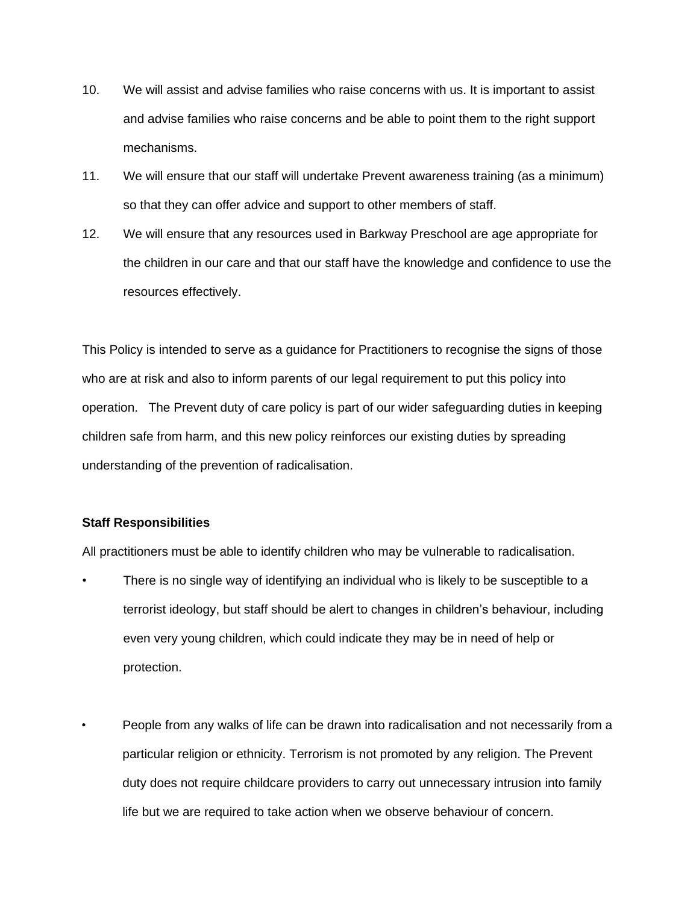- 10. We will assist and advise families who raise concerns with us. It is important to assist and advise families who raise concerns and be able to point them to the right support mechanisms.
- 11. We will ensure that our staff will undertake Prevent awareness training (as a minimum) so that they can offer advice and support to other members of staff.
- 12. We will ensure that any resources used in Barkway Preschool are age appropriate for the children in our care and that our staff have the knowledge and confidence to use the resources effectively.

This Policy is intended to serve as a guidance for Practitioners to recognise the signs of those who are at risk and also to inform parents of our legal requirement to put this policy into operation. The Prevent duty of care policy is part of our wider safeguarding duties in keeping children safe from harm, and this new policy reinforces our existing duties by spreading understanding of the prevention of radicalisation.

#### **Staff Responsibilities**

All practitioners must be able to identify children who may be vulnerable to radicalisation.

- There is no single way of identifying an individual who is likely to be susceptible to a terrorist ideology, but staff should be alert to changes in children's behaviour, including even very young children, which could indicate they may be in need of help or protection.
- People from any walks of life can be drawn into radicalisation and not necessarily from a particular religion or ethnicity. Terrorism is not promoted by any religion. The Prevent duty does not require childcare providers to carry out unnecessary intrusion into family life but we are required to take action when we observe behaviour of concern.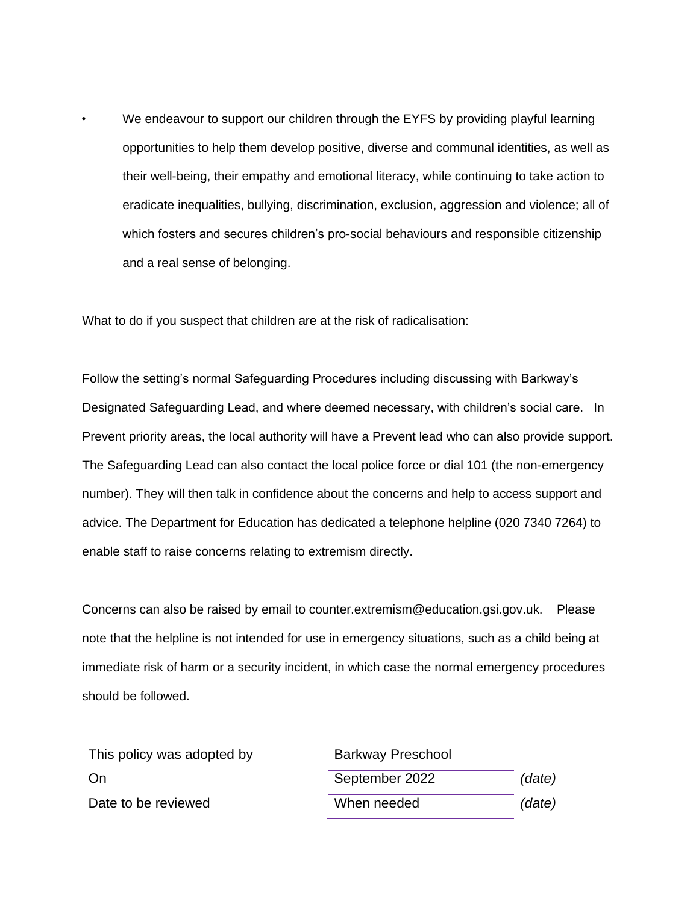We endeavour to support our children through the EYFS by providing playful learning opportunities to help them develop positive, diverse and communal identities, as well as their well-being, their empathy and emotional literacy, while continuing to take action to eradicate inequalities, bullying, discrimination, exclusion, aggression and violence; all of which fosters and secures children's pro-social behaviours and responsible citizenship and a real sense of belonging.

What to do if you suspect that children are at the risk of radicalisation:

Follow the setting's normal Safeguarding Procedures including discussing with Barkway's Designated Safeguarding Lead, and where deemed necessary, with children's social care. In Prevent priority areas, the local authority will have a Prevent lead who can also provide support. The Safeguarding Lead can also contact the local police force or dial 101 (the non-emergency number). They will then talk in confidence about the concerns and help to access support and advice. The Department for Education has dedicated a telephone helpline (020 7340 7264) to enable staff to raise concerns relating to extremism directly.

Concerns can also be raised by email to counter.extremism@education.gsi.gov.uk. Please note that the helpline is not intended for use in emergency situations, such as a child being at immediate risk of harm or a security incident, in which case the normal emergency procedures should be followed.

| This policy was adopted by | <b>Barkway Preschool</b> |        |
|----------------------------|--------------------------|--------|
| On                         | September 2022           | (date) |
| Date to be reviewed        | When needed              | (date) |